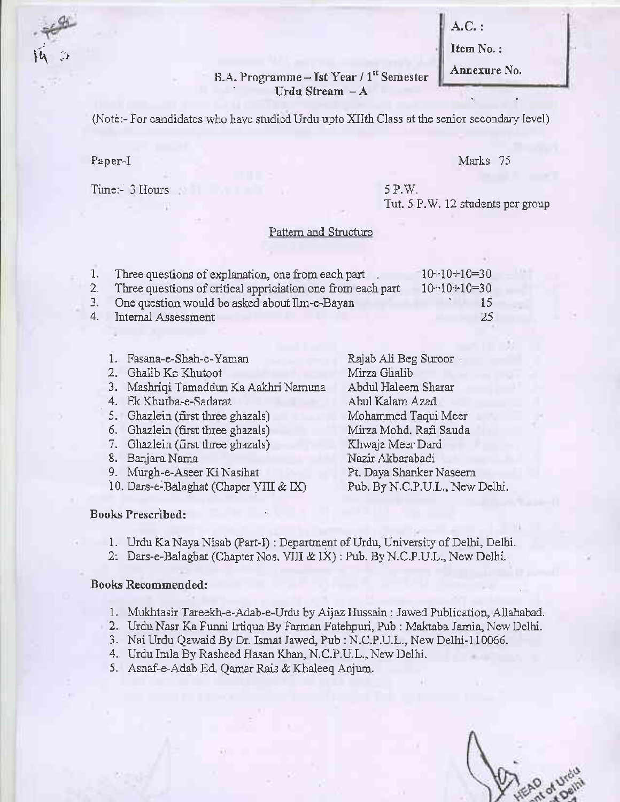A.C,:

Item No.:

# B.A. Programme - Ist Year / 1<sup>st</sup> Semester **Annexure No.**<br>Urdu Stream - A

(Note:- For candidates who have studied Urdu upto XIIth Class at the senior secondary level)

### Paper-I

 $\mathcal{U}$  -

### Marks ?5

Time:- 3 Hours

### 5 P.W. Tut. 5 P.W. 12 students per group

### Pattem and Structure

| 1. Three questions of explanation, one from each part          | $-10+10+10=30$ |
|----------------------------------------------------------------|----------------|
| 2. Three questions of critical appriciation one from each part | $10+10+10=30$  |
| 3. One question would be asked about Ilm-e-Bayan               | -15            |
| 4. Internal Assessment                                         | -25            |

| 1. Fasana-e-Shah-e-Yaman               | Rajab Ali Beg Suroor           |
|----------------------------------------|--------------------------------|
| 2. Ghalib Ke Khutoot                   | Mirza Ghalib                   |
| 3. Mashriqi Tamaddun Ka Aakhri Namuna  | Abdul Haleem Sharar            |
| 4. Ek Khutba-e-Sadarat                 | Abul Kalam Azad                |
| 5. Ghazlein (first three ghazals)      | Mohammed Taqui Meer            |
| 6. Ghazlein (first three ghazals)      | Mirza Mohd. Rafi Sauda         |
| 7. Ghazlein (first three ghazals)      | Khwaja Meer Dard               |
| 8. Banjara Nama                        | Nazir Akbarabadi               |
| 9. Murgh-e-Aseer Ki Nasihat            | Pt. Daya Shanker Naseem        |
| 10. Dars-e-Balaghat (Chaper VIII & IX) | Pub. By N.C.P.U.L., New Delhi. |
|                                        |                                |

#### Books Prescribed:

- 1. Urdu Ka Naya Nisab (Part-I): Department of Urdu, University of Delhi, Delhi.
- 2: Dars-e-Balaghat (Chapter Nos. VIII & IX) : Pub. By N.C.P.U.L., New Delhi.

- l. Mukhtasir Tareeka-e-Adab-e-Urdu by Aijaz Hussain ;Jawed Publication, Allahabad.
- 2. Urdu Nasr Ka Funni Irtiqua By Farman Fatehpuri, Pub : Maktaba Jamia, New Delhi.
- 3. Nai Urdu Qawaid By Dr. Ismat Jawed, Pub : N.C.P.U.L., New Delhi-I10066.
- 4. Urdu Imla By Rasheed Hasan Khaa, N.C.P.U,L., New Delhi.
- 5. Asnaf-e-Adab Ed. Qamar Rais & Klaleeq Anjum.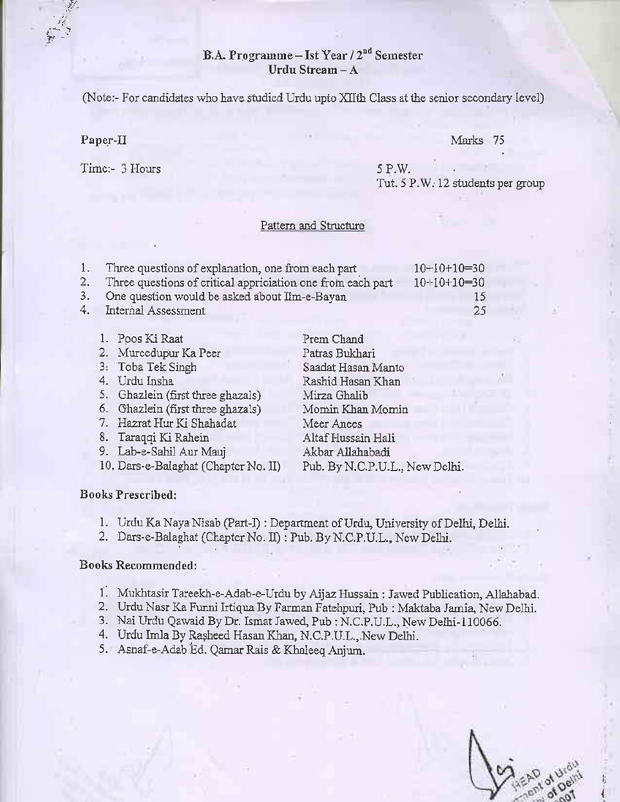### B.A. Programme - Ist Year / 2<sup>nd</sup> Semester Urdu Stream -A

(Note:- For candidates who have studied Urdu upto XIIth Class at the senior secondary level)

Paper-II

f,''

 $\sum_{i=1}^n \frac{1}{i}$ 

Time:- 3 Hours

Marks 75

5 P.W. Tut. 5 P.W. 12 students per group

#### Pattern and Structure

| 1. | Three questions of explanation, one from each part             | $10+10+10=30$ |
|----|----------------------------------------------------------------|---------------|
|    | 2. Three questions of critical appriciation one from each part | $10+10+10=30$ |
|    | 3. One question would be asked about Ilm-e-Bayan               | 15            |
|    | 4. Internal Assessment                                         | -25           |

l. Poos Ki Raat 2. Mureedupur Ka Peer 3, Toba Tek Singh 4. Urdu Insha 5. Ghazlein (first three ghazals) 6. Ghazlein (first three ghazals) 7. Hazrat Hur Ki Shahadat 8. Taraqqi Ki Rahein 9. Lab-e-Sahil Aur Mauj Prem Chand Patras Bukhari Saadat Hasan Manto Rashid Hasan Khan Mirza Ghalib Momin Khaa Momin Meer Anees Altaf Hussain Hali Akbar Allahabadi

10, Dars-e-Balaghat (Chapter No. II) Pub. By N.C.P.U.L., New Delhi.

### Books Prescribed:

1. Urdu Ka Naya Nisab (Part-I) : Department of Urdu, University of Delhi, Delhi.

2. Dars-e-Balaghat (Chapter No. II) : Pub. By N.C.P.U.L., New Delhi.

### Books Recommended:

- 1. Mukhtasir Tareekh-e-Adab-e-Urdu by Aijaz Hussain : Jawed. Publication, Allahabad.
- 2. Urdu Nasr Ka Funni Irtiqua By Farman Fatehpuri, Pub : Maktaba Jamia, New Delhi.
- 3. Nai Urdu Qawaid By Dr. Ismat Jawed, Pub : N.C.P.U.L., New Delhi-110066.
- 4. Urdu Imla By Rașheed Hasan Khan, N.C.P.U.L., New Delhi.

5. Asnaf-e-Adab Ed. Qamar Rais & Khaleeq Aojum.

li.<br>I t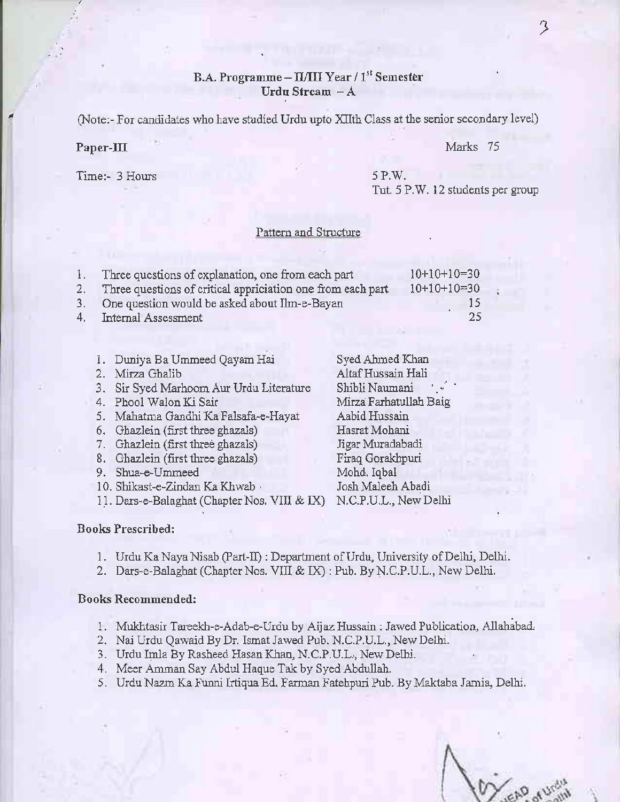### B.A. Programme - IL/III Year / 1st Semester Urdu Stream - A

(Note:- For candidates who have studied Urdu upto XIIth Class at the senior secondary level)

### Paper-III Marks 75

Time:- 3 Hours 5P.W.

Tut. 5 P.W. 12 students per group

### Pattern and Structure

| 1. Three questions of explanation, one from each part          | $10+10+10=30$ |  |
|----------------------------------------------------------------|---------------|--|
| 2. Three questions of critical appriciation one from each part | $10+10+10=30$ |  |
| 3. One question would be asked about Ilm-e-Bayan               | 15            |  |
| 4. Internal Assessment                                         | -25           |  |

| 1. Duniya Ba Ummeed Qayam Hai                | Syed Ahmed Khan        |
|----------------------------------------------|------------------------|
| 2. Mirza Ghalib                              | Altaf Hussain Hali     |
| 3. Sir Syed Marhoom Aur Urdu Literature      | Shibli Naumani         |
| 4. Phool Walon Ki Sair                       | Mirza Farhatullah Baig |
| 5. Mahatma Gandhi Ka Falsafa-e-Hayat         | Aabid Hussain          |
| 6. Ghazlein (first three ghazals)            | Hasrat Mohani          |
| 7. Ghazlein (first three ghazals)            | Jigar Muradabadi       |
| 8. Ghazlein (first three ghazals)            | Firaq Gorakhpuri       |
| 9. Shua-e-Ummeed                             | Mohd. Iqbal            |
| 10. Shikast-e-Zindan Ka Khwab                | Josh Maleeh Abadi      |
| 11. Dars-e-Balaghat (Chapter Nos. VIII & IX) | N.C.P.U.L., New Delhi  |

### Books Prescribed:

- 1. Urdu Ka Naya Nisab (Part-II): Department of Urdu, University of Delhi, Delhi,
- 2. Dars-e-Balaghat (Chapter Nos. VIII & IX) : Pub. By N.C.P.U.L., New Delhi.

- 1. Mukhtasir Tareekh-e-Adab-e-Urdu by Aijaz Hussain : Jawed Publication, Allahabad.
- 2. Nai Urdu Qawaid By Dr. Ismat Jawed Pub. N.C.P.U.L., New Delhi.
- 3. Urdu Imla By Rasheed Hasan Khan, N.C.P.U.L., New Delhi.
- 4. Meer Amman Say Abdul Haque Tak by Syed Abdullah.
- 5. Urdu Nazm Ka Funni Irtiqua Ed. Farman Fatehpuri Pub. By Maktaba Jamia, Delhi.

Treas av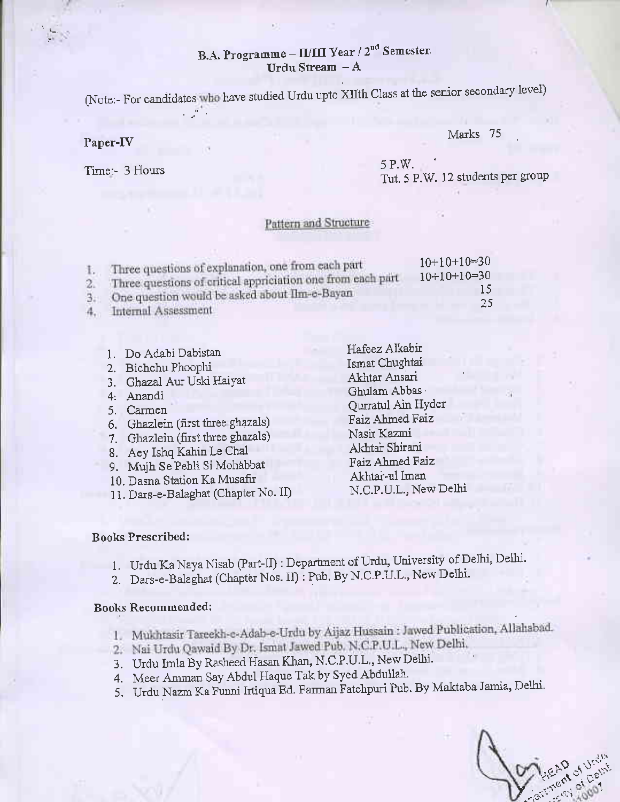### B.A. Programme - II/III Year / 2<sup>nd</sup> Semester Urdu Stream  $-A$

(Note:- For candidates who have studied Urdu upto XIIth Class at the senior secondary level)

### Paper-fV

Marks 75

Time:- 3 Hours

| 5 P.W. |                                   |
|--------|-----------------------------------|
|        | Tut. 5 P.W. 12 students per group |

### Pattern and Structure

|    | Three questions of explanation, one from each part<br>Three questions of critical appriciation one from each part | $10+10+10=30$<br>$10+10+10=30$ |
|----|-------------------------------------------------------------------------------------------------------------------|--------------------------------|
| 2. |                                                                                                                   | 15                             |
|    | One question would be asked about Ilm-e-Bayan<br>Internal Assessment                                              | 25                             |

| 1. Do Adabi Dabistan                 | Hafeez Alkabir        |
|--------------------------------------|-----------------------|
| 2. Bichchu Phoophi                   | Ismat Chughtai        |
| 3. Ghazal Aur Uski Haiyat            | Akhtar Ansari         |
| Anandi                               | Ghulam Abbas          |
| Carmen                               | Qurratul Ain Hyder    |
| 6. Ghazlein (first three ghazals)    | Faiz Ahmed Faiz       |
| 7. Ghazlein (first three ghazals)    | Nasir Kazmi           |
| 8. Aey Ishq Kahin Le Chal            | Akhtar Shirani        |
|                                      | Faiz Ahmed Faiz       |
| 9. Mujh Se Pehli Si Mohabbat         | Akhtar-ul Iman        |
| 10. Dasna Station Ka Musafir         | N.C.P.U.L., New Delhi |
| 11. Dars-e-Balaghat (Chapter No. II) |                       |

### Books Prescribed:

- l. Urdu Ka Naya Nisab (Part-II) : Department of Urdu, University of Delhi, Delhi.
- 2. Dars-e-Balaghat (Chapter Nos. II) : Pub, By N.C.P.U.L., New Delhi.

- 1. Mukhtasir Tareekh-e-Adab-e-Urdu by Aijaz Hussain : Jawed Publication, Allahabad.
- 2. Nai Urdu Qawaid By Dr. Ismat Jawed Pub, N.C.P.U.L., New Delhi.<br>3. Urdu Imla By Rasheed Hasan Khan, N.C.P.U.L., New Delhi.
- 
- 4. Meer Amman Say Abdul Haque Tak by Syed Abdullah.
- 5. Urdu Nazm Ka Funni Irtiqua Ed. Farman Fatehpuri Pub. By Maktaba Jamia, Delhi.

 $: 12^{2}$ ,  $560^{\circ}$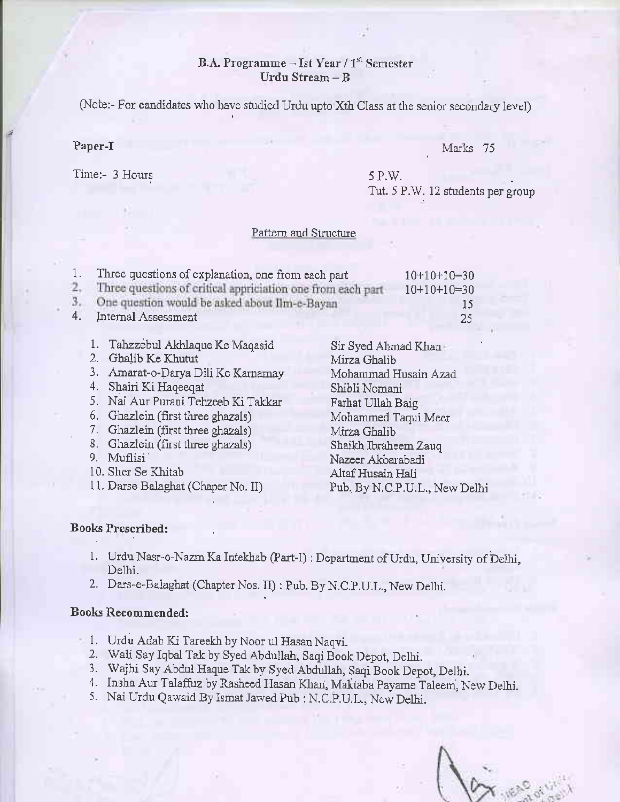### B.A. Programme  $-$  Ist Year / 1<sup>st</sup> Semester Urdu Stream - B

(Note:- For candidates who have studied Urdu upto Xth Class at the senior secondary level)

### Paper-I

Marks 75

Time:- 3 Hours

## 5 P.V/.

Tut. 5 P.W. 12 students per group

### Pattern and Structure

| ī. | Three questions of explanation, one from each part          | $10+10+10=30$ |  |
|----|-------------------------------------------------------------|---------------|--|
|    | Three questions of critical appriciation one from each part | $10+10+10=30$ |  |
|    | One question would be asked about Ilm-c-Bayan               | 15            |  |
|    | Internal Assessment                                         | 25            |  |
|    |                                                             |               |  |

1. Tahzzebul Akhlaque Ke Maqasid Sir Syed Ahmad Khan 2. Ghalib Ke Khutut<br>
2. Amarat-o-Darya Dili Ke Kamamay Mohammad Husain Azad 3. Amarat-o-Darya Dili Ke Kamamay 4. Shairi Ki Haqeeqat Shibli Nomani 5. Nai Aur Purani Tehzeeb Ki Takkar Farhat Ullah Baig 6. Ghazlein (first three ghazals) Mohammed Taqui Meer 7. Ghazlein (first three ghazals) Mirza Ghalib 8. Ghazlein (first three ghazals) Shaikh Ibraheem Zauq<br>9. Muflisi Nazeer Akharabadi Nazeer Akbarabadi 10. Sher Se Khitab Altaf Husain Hali<br>11. Darse Balaghat (Chaper No. II) Pub. By N.C.P.U.I Pub. By N.C.P.U.L., New Delhi

### Books Prescribed:

- 1. Urdu Nasr-o-Nazm Ka Intekhab (Part-I) : Department of Urdu, University of Delhi, Delhi.
- 2. Dars-e-Balaghat (Chapter Nos. II) : Pub. By N.C.P.U.L., New Delhi.

- 1. Urdu Adab Ki Tareekh by Noor ul Hasan Naqvi.
- 2. Wali Say Iqbal Tak by Syed Abdullah, Saqi Book Depot, Delhi.
- 3. Wajhi Say Abdul Haque Tak by Syed Abdullah, Saqi Book Depot, Delhi.
- 4. Insha Aur Talaffuz by Rasheed Hasan Khan, Maktaba Payame Taleem, New Delhi.
- 5. Nai Urdu Qawaid By Ismat Jawed Pub : N.C.P.U.L., New Delhi.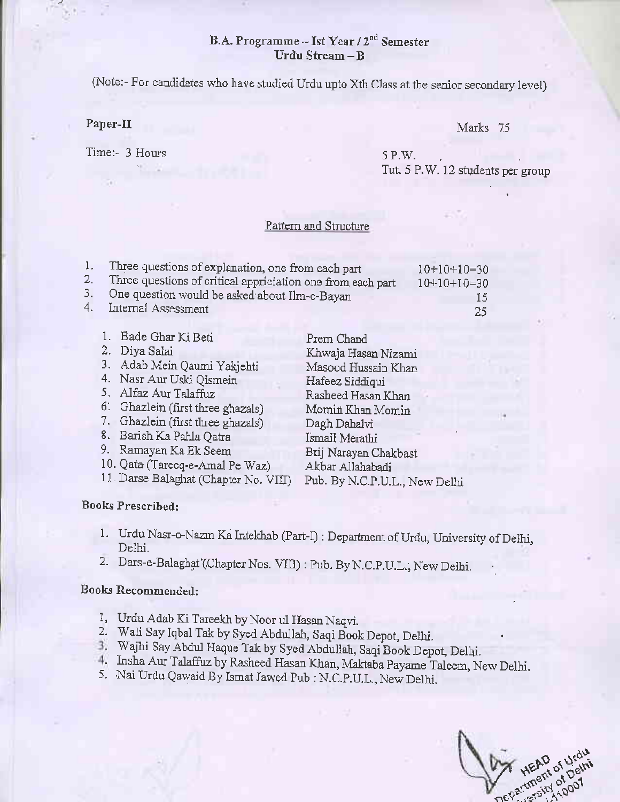### B.A. Progranne - Ist Year /2nd Semester Urdu Stream \_B

(Note:- For candidates who have studied Urdu upto Xth Class at the senior secondary level)

### Paper-II

Time:- 3 Hours

### Marks 75

5 P.W. Tut. 5 P.W. 12 students per group

### Pattern and Structure

|      | Three questions of explanation, one from each part          | $10+10+10=30$ |
|------|-------------------------------------------------------------|---------------|
| 2. . | Three questions of critical appriciation one from each part | $10+10+10=30$ |
| 3.   | One question would be asked about Ilm-e-Bayan               | 15            |
| 4.   | Internal Assessment                                         | 25            |

| 1. Bade Ghar Ki Beti                  | Prem Chand                    |
|---------------------------------------|-------------------------------|
| 2. Diya Salai                         | Khwaja Hasan Nizami           |
| 3. Adab Mein Qaumi Yakjehti           | Masood Hussain Khan           |
| 4. Nasr Aur Uski Qismein              | Hafeez Siddiqui               |
| 5. Alfaz Aur Talaffuz                 | Rasheed Hasan Khan            |
| 6. Ghazlein (first three ghazals)     | Momin Khan Momin              |
| 7. Ghazlein (first three ghazals)     | Dagh Dahalvi                  |
| 8. Barish Ka Pahla Qatra              | Ismail Merathi                |
| 9. Ramayan Ka Ek Seem                 | Brij Narayan Chakbast         |
| 10. Qata (Tareeq-e-Amal Pe Waz)       | Akbar Allahabadi              |
| 11. Darse Balaghat (Chapter No. VIII) | Pub. By N.C.P.U.L., New Delhi |

### Books Prescribed:

- 1. Urdu Nasr-o-Nazm Ka Intekhab (Part-I) : Department of Urdu, University of Delhi, Delhi.
- 2. Dars-e-Balaghat'(Chapter Nos. VIII) : Pub. By N.C.P.U.L., New Delhi.

- l. Urdu Adab Ki Tareekh by Noor ul Hasan Naqvi.
- 2. Wali Say Iqbal Tak by Syed Abdullah, Saqi Book Depot, Delhi.
- 3. Wajhi Say Abdul Haque Tak by Syed Abdullah, Saqi Book Depot, Delhi,
- 4. Insha Aur Talaffuz by Rasheed Hasan Khan, Maktaba Payame Taleem, New Delhi. 5. Nai Urdu Qawaid By Ismat Jawed Pub : N.C.P.U.L., New Delhi.
- 

HEAU of Urdi<br>The partment of Del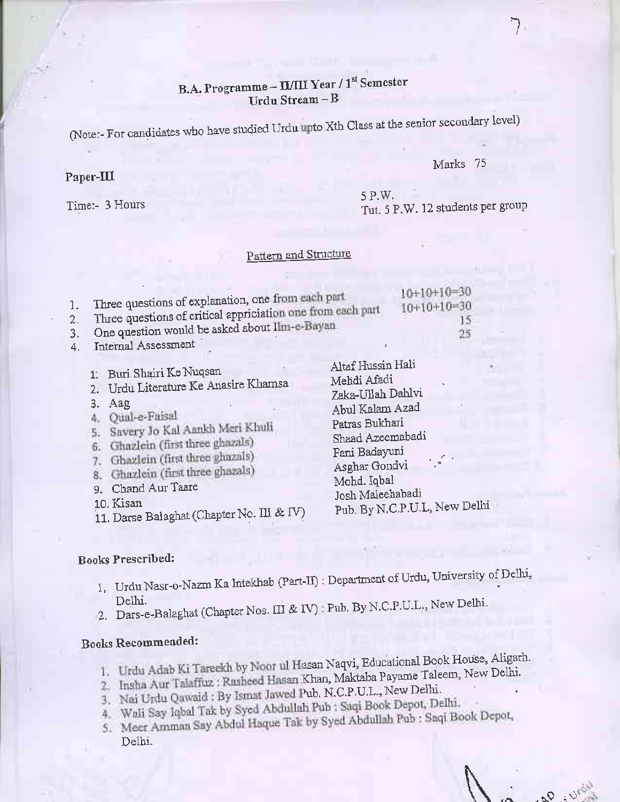### B.A. Programme - II/III Year / 1st Semester Urdu Stream - B

(Note:- For candidates who have studied Urdu upto Xth Class at the senior secondary level)

### Marks 75

 $\overline{\phantom{a}}$ 

#### Paper-III

Time:- 3 Hous

5 P.W. Tut. 5 P.W. 12 students per group

### Pattern and Structure

| Three questions of explanation, one from each part                                          | $10+10+10=30$<br>$10+10+10=30$ |
|---------------------------------------------------------------------------------------------|--------------------------------|
| Three questions of critical appriciation one from each part                                 |                                |
| One question would be asked about Ilm-e-Bayan                                               |                                |
| $T_{\text{r}}$ $\sim$ $\sim$ $\alpha$ $\approx$ $\alpha$ $\approx$ $\alpha$ $\approx$ $\pi$ |                                |

- 4. Internal Assessment
	- 1: Buri Shairi Ke Nuqsan
	- 2. Urdu Literature Ke Anasire Khamsa
	-
	- 3. Aag<br>4. Qual-e-Faisal
	- 5. Savery Jo Kal Aankh Meri Khuli
	- 6. Ghazlein (first three ghazals)
	- 7. Ghazlein (first three ghazals)
	- 8. Ghazlein (first three ghazals)
	- 9. Chand Aur Taare
	- 10. Kisan
	- 11. Darse Balaghat (Chapter No. III & IV)

Altaf Hussin Hali Mehdi Afadi Zaka-Ullah Dahlvi Abul Kalam Azad Patras Bukhari Shaad Azeemabadi Fani Badayuni Asghar Gondvi Mohd. Iqbal Josh Maleehabadi Pub. By N.C.P.U.L, New Delhi

### Books Prescribed:

- l, Urdu Nasr-o-Nazm Ka Intekhab (Part-II): Department of Urdu, University of Delhi,
- Delhi.<br>2. Dars-e-Balaghat (Chapter Nos. III & IV): Pub. By N.C.P.U.L., New Delhi.

- 1. Urdu Adab Ki Tareekh by Noor ul Hasan Naqvi, Educational Book House, Aligarh.
- 2. Insha Aur Talaffuz : Rasheed Hasan Khan, Maktaba Payame Taleem, New Delhi.
- 
- 3. Nai Urdu Qawaid : By Ismat Jawed Pub. N.C.P.U.L., New Delhi.<br>4. Wali Say Iqbal Tak by Syed Abdullah Pub : Saqi Book Depot, Delhi.
- 4. Wali Say Iqbal Tak by Syed Abdullah Fub . Saqi Book : Saqi Book Depot, 5. Meer Amman Say Abdul Haque Tak by Syed Abdullah Pub : Saqi Book Depot, Delhi.

 $3U_{\rm A}$  0.6.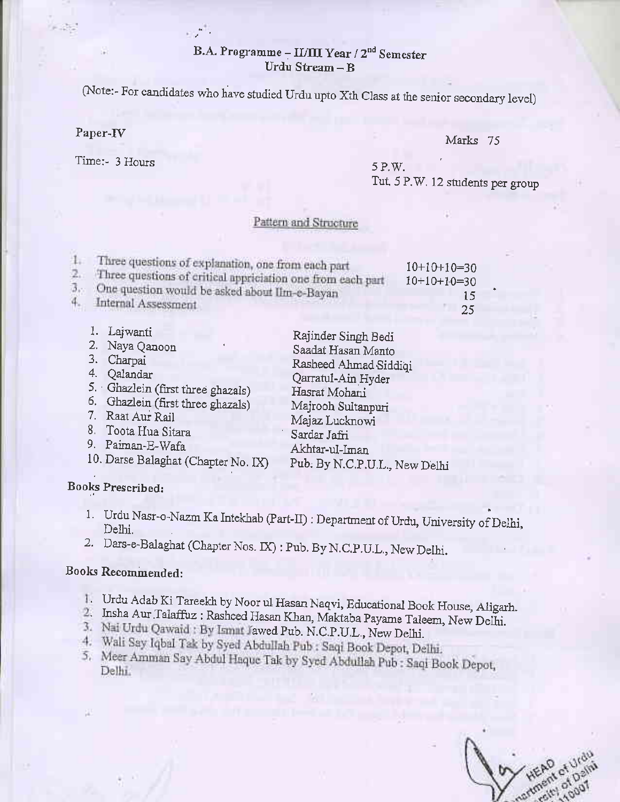### B.A. Programme - II/III Year / 2<sup>nd</sup> Semester Urdu Stream - B

(Note:- For candidates who have studied Urdu upto Xth Class at the senior secondary level)

### Paper-fV

Time:- 3 Hours

### Marks 75

5 P.W. Tut. 5 P.W, 12 students per group

### Pattern and Structure

| Three questions of explanation, one from each part<br>Three questions of critical appriciation one from each part | $10+10+10=30$<br>$10+10+10=30$ |
|-------------------------------------------------------------------------------------------------------------------|--------------------------------|
| One question would be asked about Ilm-e-Bayan                                                                     | 15                             |
| Internal Assessment                                                                                               | 25                             |

| Lajwanti<br>2. Naya Qanoon<br>3. Charpai<br>4. Qalandar<br>5. Ghazlein (first three ghazals)<br>6. Ghazlein (first three ghazals)<br>7. Raat Aur Rail<br>8. Toota Hua Sitara<br>9. Paiman-E-Wafa | Rajinder Singh Bedi<br>Saadat Hasan Manto<br>Rasheed Ahmad Siddiqi<br>Qarratul-Ain Hyder<br>Hasrat Mohani<br>Majrooh Sultanpuri<br>Majaz Lucknowi<br>Sardar Jafri |
|--------------------------------------------------------------------------------------------------------------------------------------------------------------------------------------------------|-------------------------------------------------------------------------------------------------------------------------------------------------------------------|
| 10. Darse Balaghat (Chapter No. IX)                                                                                                                                                              | Akhtar-ul-Iman<br>Pub. By N.C.P.U.L., New Delhi                                                                                                                   |
|                                                                                                                                                                                                  |                                                                                                                                                                   |

### Books Prescribed:

- 1. Urdu Nasr-o-Nazm Ka Intekhab (Part-II) : Department of Urdu, University of Delhi, Delhi.
- 2. Dars-e-Balaghat (Chapter Nos. IX) : Pub. By N.C.P.U.L., New Delhi.

- 1. Urdu Adab Ki Tareekh by Noor ul Hasan Naqvi, Educational Book House, Aligarh.
- 2. Insha Aur Talaffuz : Rasheed Hasan Khan, Maktaba Payame Taleem, New Delhi.
- 
- 3. Nai Urdu Qawaid : By Ismat Jawed Pub. N.C.P.U.L., New Delhi.<br>4. Wali Say Iqbal Tak by Syed Abdullah Pub : Saqi Book Depot, Delhi.
- 5. Meer Amman Say Abdul Haque Tak by Syed Abdullah Pub : Saqi Book Depot, Delhi.

HEAD of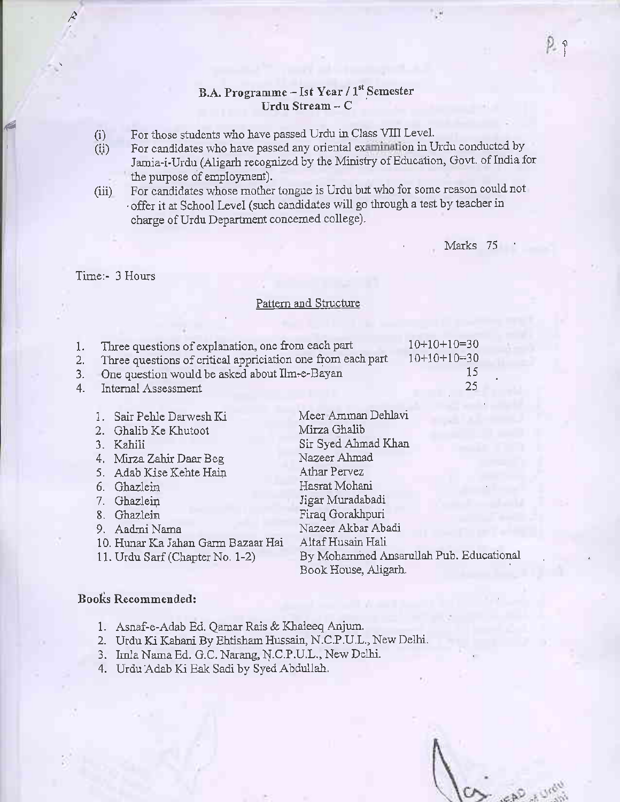### B.A. Programme - Ist Year / 1st Semester Urdu Stream -  $C$

- 
- (i) For those students who have passed Urdu in Class VIII Level.<br>  $(i)$  For candidates who have passed any oriental examination in U For candidates who have passed any oriental examination in Urdu conducted by Jamia-i-Urdu (Aligarh recognized by the Ministry of Education, Govt. of India for the purpose of employment).
- (iii) For candidates whose mother tongue is Urdu but who for some reason could not offer it at School Level (such candidates will go through a test by teacher in charge of Urdu Department concerned college).

Marks 75

### Time:- 3 Hours

t

e

### Pattern and Structure

|     | Three questions of explanation, one from each part<br>Three questions of critical appriciation one from each part | $10+10+10=30$<br>$10+10+10=30$ |
|-----|-------------------------------------------------------------------------------------------------------------------|--------------------------------|
| 3.7 | One question would be asked about Ilm-e-Bayan                                                                     | 15                             |
|     | 4. Internal Assessment                                                                                            | 25                             |

| 1. Sair Pehle Darwesh Ki           | Meer Amman Dehlavi                      |
|------------------------------------|-----------------------------------------|
| 2. Ghalib Ke Khutoot               | Mirza Ghalib                            |
| 3. Kahili                          | Sir Syed Ahmad Khan                     |
| 4. Mirza Zahir Daar Beg            | Nazeer Ahmad                            |
| 5. Adab Kise Kehte Hain            | Athar Pervez                            |
| 6. Ghazlein                        | Hasrat Mohani                           |
| 7. Ghazlein                        | Jigar Muradabadi                        |
| 8. Ghazlein                        | Firaq Gorakhpuri                        |
| 9. Aadmi Nama                      | Nazeer Akbar Abadi                      |
| 10. Hunar Ka Jahan Garm Bazaar Hai | Altaf Husain Hali                       |
| 11. Urdu Sarf (Chapter No. 1-2)    | By Mohammed Ansarullah Pub. Educational |
|                                    | Book House, Aligarh.                    |
|                                    |                                         |

- 1. Asnaf-e-Adab Ed. Qamar Rais & Klaieeq Anjum.
- 2. Urdu Ki Kahani By Ehtisham Hussain, N.C.P.U.L,, New Delhi.
- 3. Imla Nama Ed. G.C. Narang, \.C.P.U.L., New Delhi.
- 4. Urdu Adab Ki Eak Sadi by Syed Abdullah.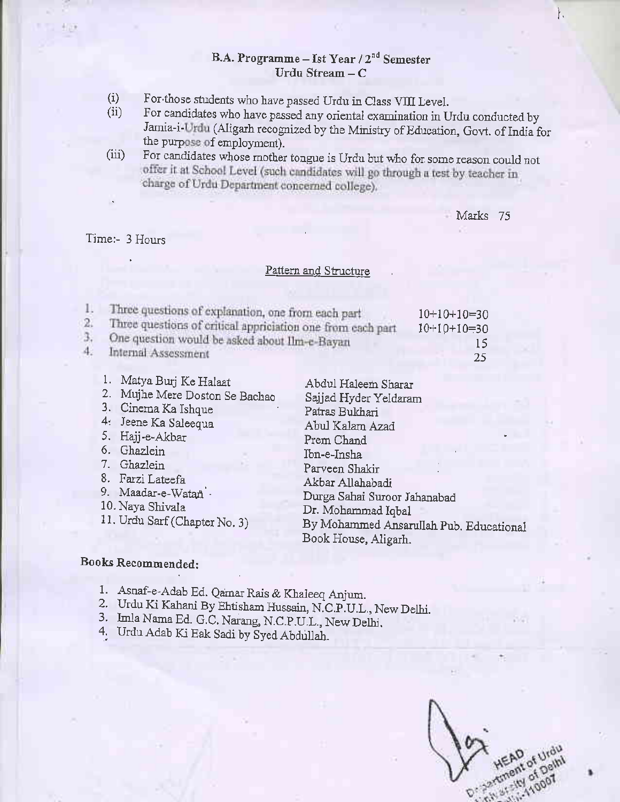### B.A. Programme - Ist Year  $/2^{nd}$  Semester Urdu Stream  $-C$

- For those students who have passed Urdu in Class VIII Level. (i)
- For candidates who have passed any oriental examination in Urdu conducted by Jamia-i-Urdu (Aligarh recognized by the Ministry of Education, Govt. of India for the purpose of employment).  $(ii)$
- (iii) For candidates whose mother tongue is Urdu but who for some reason could not offer it at School Level (such candidates will go through a test by teacher in charge of Urdu Department concerned college).

### Marks 75

 $\mathfrak{f}_{\lambda}$ 

### Time:- 3 Hours

### Pattern and Structure

|    | Three questions of explanation, one from each part          | $10+10+10=30$ |
|----|-------------------------------------------------------------|---------------|
| 2. | Three questions of critical appriciation one from each part | $10+10+10=30$ |
|    | One question would be asked about Ilm-e-Bayan               |               |
| 4. | Internal Assessment                                         | 25            |

- 1. Matya Burj Ke Halaat
- 2. Mujhe Mere Doston Se Bachao
- 3. Cinema Ka Ishque
- 4: Jeene Ka Saleequa
- 5. Hajj-e,Akbar
- 6. Ghazlein
- 7. Ghazlein
- 8. Farzi Lateefa
- 9. Maadar-e-Watan .
- 10. Naya Shivala
- 1 1. Urdu Sarf (Chapter No. 3)

Abdul Haleem Sharar Sajjad Hyder Yeldaram Patras Bukhari Abul Kalam Azad Prem Chand Ibn-e-Irsha Parveen Shakir Akbar Allahabadi Dwga Sahai Suroor Jahanabad Dr. Mohammad Iqbal By Mohanrned Ansarullah pub. Educationai Book House, Aligarh.

- 1. Asnaf-e-Adab Ed. Qamar Rais & Khaleeq Anjum.
- 2. Urdu Ki Kahani By Ehtisham Hussain, N.C.P.U.L., New Delhi.<br>3. Imla Nama Ed. G.C. Narang, N.C.P.U.L., New Delhi. 4. Urdu Adab Ki Eak Sadi by Syed Abdullah.
- 
- 

extinem of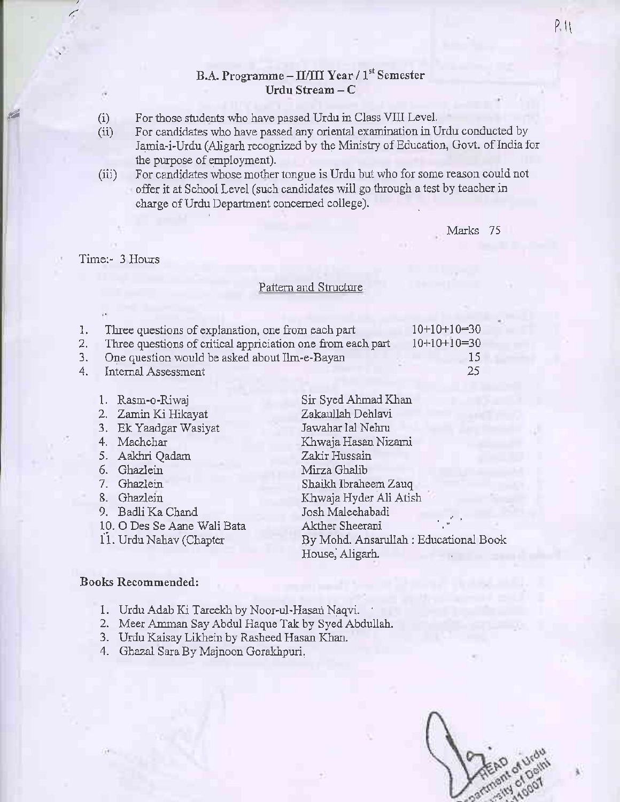### B.A. Programme - IL/III Year / 1<sup>st</sup> Semester Urdu Stream - C

- (i) For those students who have passed Urdu in Class VIII Level.
- (ii) For candidates who have passed any oriental examination in Urdu conducted by Jamia-i-Urdu (Aligarh recognized by the Ministry of Education, Govt. of India for the purpose of employment).
- (iii) For candidates whose mother tongue is Urdu but who for some reason could not offer it at School Level (such candidates will go through a test by teacher in charge of Urdu Department concerned college).

Marks 75

#### Time:- 3 Hours

/:

fr

### Pattern and Structure

|    | 1. Three questions of explanation, one from each part          | $10+10+10=30$ |
|----|----------------------------------------------------------------|---------------|
|    | 2. Three questions of critical appriciation one from each part | $10+10+10=30$ |
|    | 3. One question would be asked about Ilm-e-Bayan               | 15            |
| 4. | Internal Assessment                                            | -25           |
|    |                                                                |               |

- 1. Rasm-o-Riwaj
	- 2. Zamin Ki Hikayat<br>3. Ek Yaadgar Wasiyat
	-
	- 4. Machchar
	- 5. Aakhri Qadam
	- 6. Ghazlein
	- 7. Ghazlein
	- 8. Ghazlein
	- 9. Badli Ka Chand
	- 10. O Des Se Aane Wali Bata
	- ii. Urdu Nahav (chapter

Sir Syed Ahmad Khan Zakaullah Dehlavi Jawahar lal Nehru Khwaja Hasau Nizani Zakir Hussain Mirza Ghalib Shaikh lbraleem Zauq Khwaja Hyder Ali Atish Josh Maleehabadi Akther Sheerani By Mohd. Aosarullah : Educational Book House, Aligarh.

- 1. Urdu Adab Ki Tareekh by Noor-ul-Hasari Naqvi.
- 2. Meer Amman Say Abdul Haque Tak by Syed Abdullah.
- 3. Urdu Kaisay Likhein by Rasheed Hasar Khan.
- 4. Ghazal Sara By Majnoon Gorakhpun.